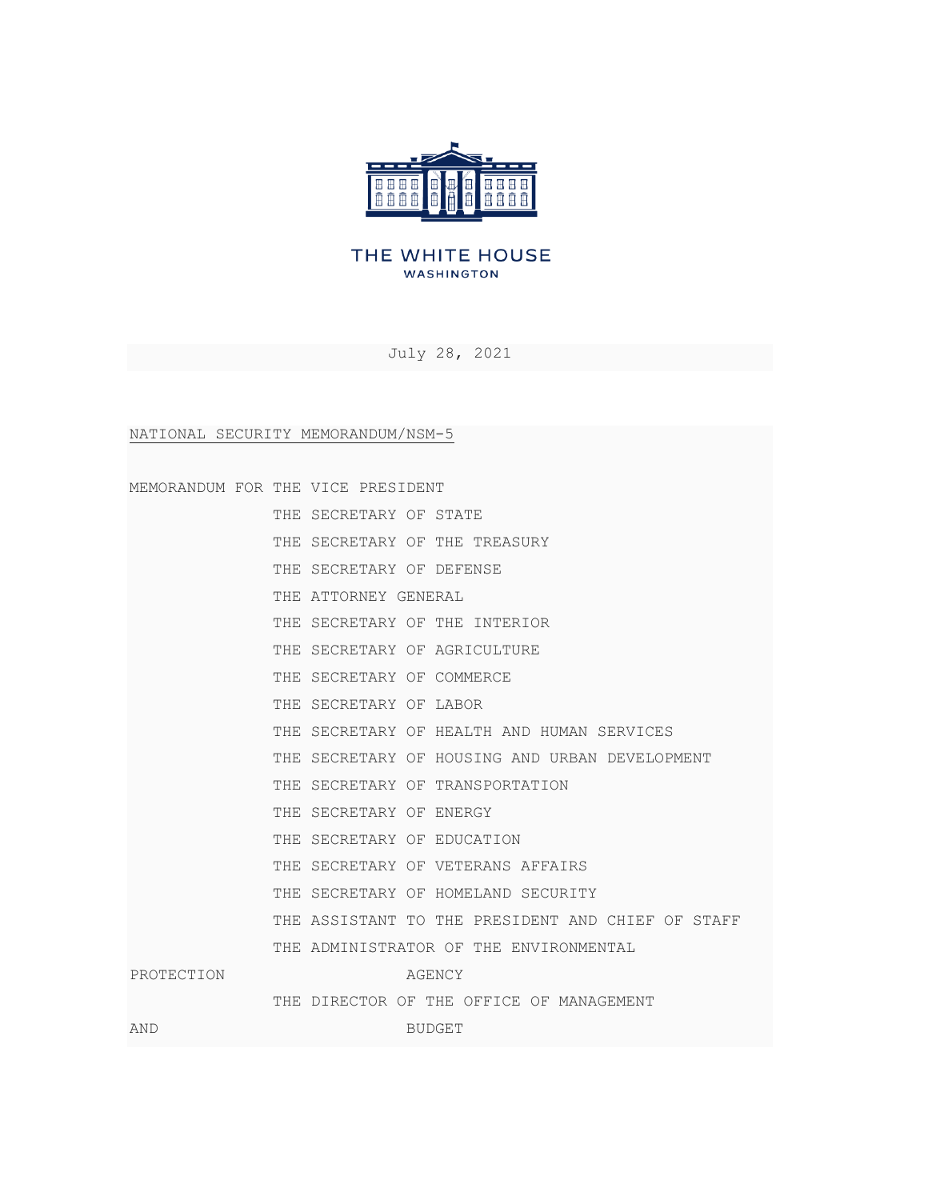

## THE WHITE HOUSE **WASHINGTON**

July 28, 2021

NATIONAL SECURITY MEMORANDUM/NSM-5

| MEMORANDUM FOR THE VICE PRESIDENT |  |                      |  |                                                   |
|-----------------------------------|--|----------------------|--|---------------------------------------------------|
|                                   |  |                      |  | THE SECRETARY OF STATE                            |
|                                   |  |                      |  | THE SECRETARY OF THE TREASURY                     |
|                                   |  |                      |  | THE SECRETARY OF DEFENSE                          |
|                                   |  | THE ATTORNEY GENERAL |  |                                                   |
|                                   |  |                      |  | THE SECRETARY OF THE INTERIOR                     |
|                                   |  |                      |  | THE SECRETARY OF AGRICULTURE                      |
|                                   |  |                      |  | THE SECRETARY OF COMMERCE                         |
|                                   |  |                      |  | THE SECRETARY OF LABOR                            |
|                                   |  |                      |  | THE SECRETARY OF HEALTH AND HUMAN SERVICES        |
|                                   |  |                      |  | THE SECRETARY OF HOUSING AND URBAN DEVELOPMENT    |
|                                   |  |                      |  | THE SECRETARY OF TRANSPORTATION                   |
|                                   |  |                      |  | THE SECRETARY OF ENERGY                           |
|                                   |  |                      |  | THE SECRETARY OF EDUCATION                        |
|                                   |  |                      |  | THE SECRETARY OF VETERANS AFFAIRS                 |
|                                   |  |                      |  | THE SECRETARY OF HOMELAND SECURITY                |
|                                   |  |                      |  | THE ASSISTANT TO THE PRESIDENT AND CHIEF OF STAFF |
|                                   |  |                      |  | THE ADMINISTRATOR OF THE ENVIRONMENTAL            |
| PROTECTION                        |  |                      |  | AGENCY                                            |
|                                   |  |                      |  | THE DIRECTOR OF THE OFFICE OF MANAGEMENT          |
| <b>AND</b>                        |  |                      |  | <b>BUDGET</b>                                     |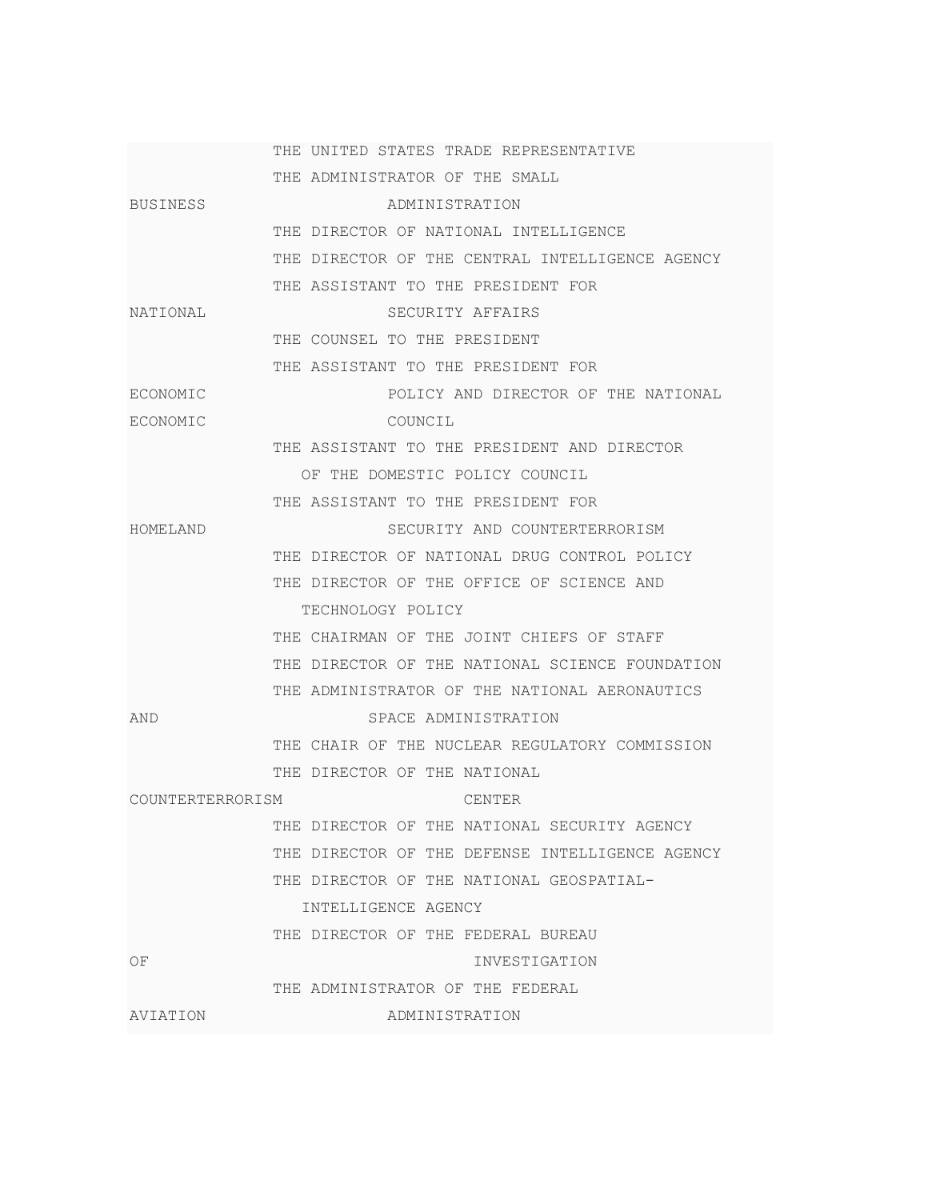|                  | THE UNITED STATES TRADE REPRESENTATIVE          |
|------------------|-------------------------------------------------|
|                  | THE ADMINISTRATOR OF THE SMALL                  |
| <b>BUSINESS</b>  | ADMINISTRATION                                  |
|                  | THE DIRECTOR OF NATIONAL INTELLIGENCE           |
|                  | THE DIRECTOR OF THE CENTRAL INTELLIGENCE AGENCY |
|                  | THE ASSISTANT TO THE PRESIDENT FOR              |
| NATIONAL         | SECURITY AFFAIRS                                |
|                  | THE COUNSEL TO THE PRESIDENT                    |
|                  | THE ASSISTANT TO THE PRESIDENT FOR              |
| ECONOMIC         | POLICY AND DIRECTOR OF THE NATIONAL             |
| ECONOMIC         | COUNCIL                                         |
|                  | THE ASSISTANT TO THE PRESIDENT AND DIRECTOR     |
|                  | OF THE DOMESTIC POLICY COUNCIL                  |
|                  | THE ASSISTANT TO THE PRESIDENT FOR              |
| HOMELAND         | SECURITY AND COUNTERTERRORISM                   |
|                  | THE DIRECTOR OF NATIONAL DRUG CONTROL POLICY    |
|                  | THE DIRECTOR OF THE OFFICE OF SCIENCE AND       |
|                  | TECHNOLOGY POLICY                               |
|                  | THE CHAIRMAN OF THE JOINT CHIEFS OF STAFF       |
|                  | THE DIRECTOR OF THE NATIONAL SCIENCE FOUNDATION |
|                  | THE ADMINISTRATOR OF THE NATIONAL AERONAUTICS   |
| AND              | SPACE ADMINISTRATION                            |
|                  | THE CHAIR OF THE NUCLEAR REGULATORY COMMISSION  |
|                  | THE DIRECTOR OF THE NATIONAL                    |
| COUNTERTERRORISM | CENTER                                          |
|                  | THE DIRECTOR OF THE NATIONAL SECURITY AGENCY    |
|                  | THE DIRECTOR OF THE DEFENSE INTELLIGENCE AGENCY |
|                  | THE DIRECTOR OF THE NATIONAL GEOSPATIAL-        |
|                  | INTELLIGENCE AGENCY                             |
|                  | THE DIRECTOR OF THE FEDERAL BUREAU              |
| OF               | INVESTIGATION                                   |
|                  | THE ADMINISTRATOR OF THE FEDERAL                |
| AVIATION         | ADMINISTRATION                                  |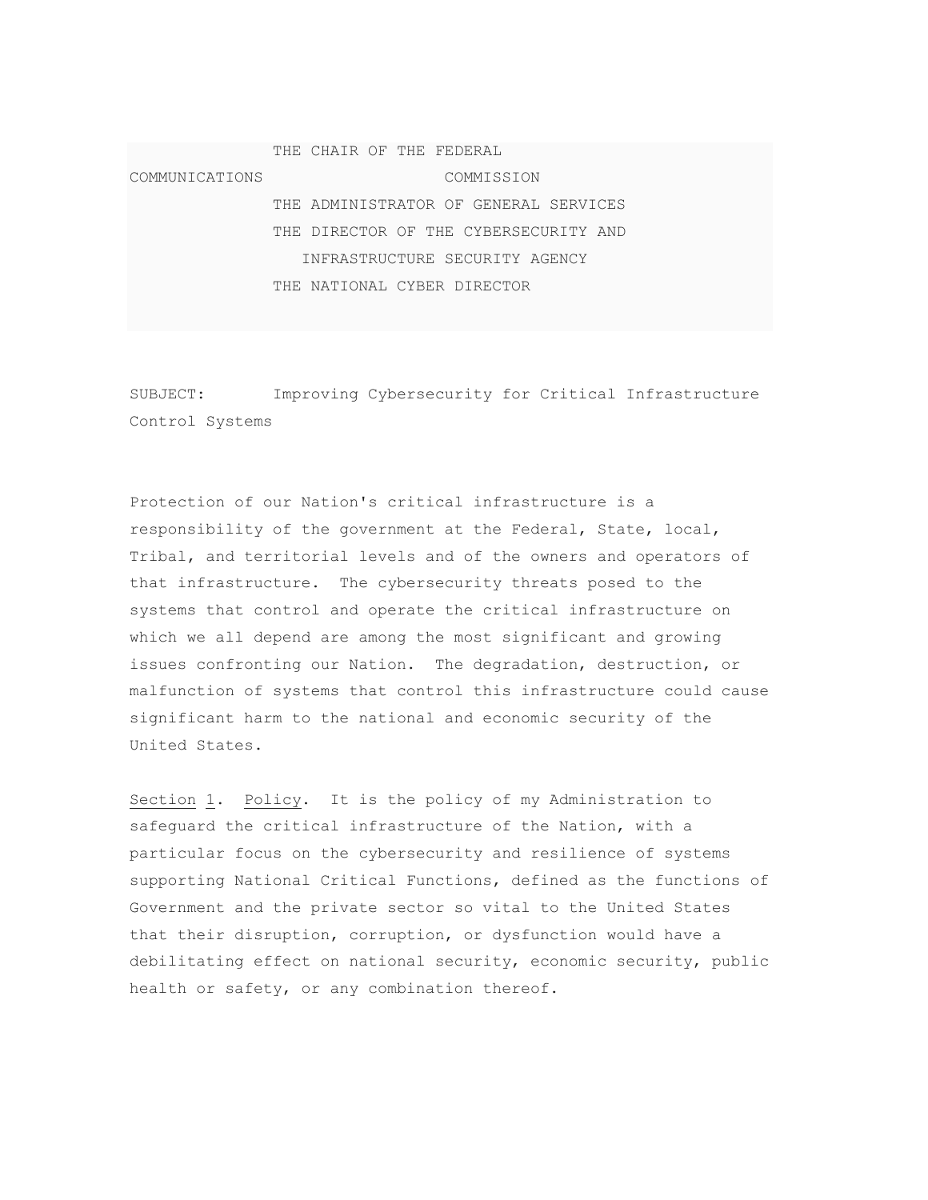THE CHAIR OF THE FEDERAL COMMUNICATIONS COMMISSION THE ADMINISTRATOR OF GENERAL SERVICES THE DIRECTOR OF THE CYBERSECURITY AND INFRASTRUCTURE SECURITY AGENCY THE NATIONAL CYBER DIRECTOR

SUBJECT: Improving Cybersecurity for Critical Infrastructure Control Systems

Protection of our Nation's critical infrastructure is a responsibility of the government at the Federal, State, local, Tribal, and territorial levels and of the owners and operators of that infrastructure. The cybersecurity threats posed to the systems that control and operate the critical infrastructure on which we all depend are among the most significant and growing issues confronting our Nation. The degradation, destruction, or malfunction of systems that control this infrastructure could cause significant harm to the national and economic security of the United States.

Section 1. Policy. It is the policy of my Administration to safeguard the critical infrastructure of the Nation, with a particular focus on the cybersecurity and resilience of systems supporting National Critical Functions, defined as the functions of Government and the private sector so vital to the United States that their disruption, corruption, or dysfunction would have a debilitating effect on national security, economic security, public health or safety, or any combination thereof.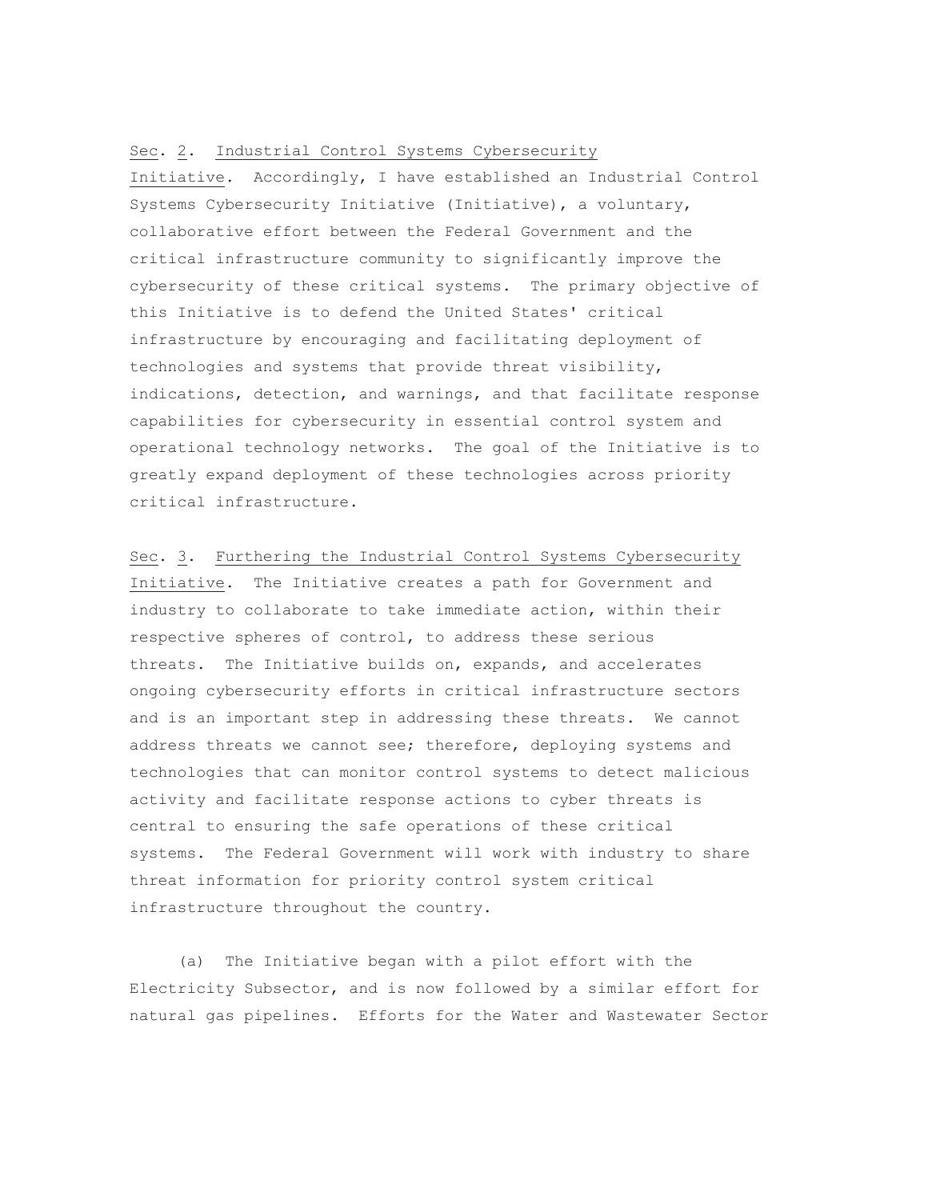## Sec. 2. Industrial Control Systems Cybersecurity

Initiative. Accordingly, I have established an Industrial Control Systems Cybersecurity Initiative (Initiative), a voluntary, collaborative effort between the Federal Government and the critical infrastructure community to significantly improve the cybersecurity of these critical systems. The primary objective of this Initiative is to defend the United States' critical infrastructure by encouraging and facilitating deployment of technologies and systems that provide threat visibility, indications, detection, and warnings, and that facilitate response capabilities for cybersecurity in essential control system and operational technology networks. The goal of the Initiative is to greatly expand deployment of these technologies across priority critical infrastructure.

Sec. 3. Furthering the Industrial Control Systems Cybersecurity Initiative. The Initiative creates a path for Government and industry to collaborate to take immediate action, within their respective spheres of control, to address these serious threats. The Initiative builds on, expands, and accelerates ongoing cybersecurity efforts in critical infrastructure sectors and is an important step in addressing these threats. We cannot address threats we cannot see; therefore, deploying systems and technologies that can monitor control systems to detect malicious activity and facilitate response actions to cyber threats is central to ensuring the safe operations of these critical systems. The Federal Government will work with industry to share threat information for priority control system critical infrastructure throughout the country.

(a) The Initiative began with a pilot effort with the Electricity Subsector, and is now followed by a similar effort for natural gas pipelines. Efforts for the Water and Wastewater Sector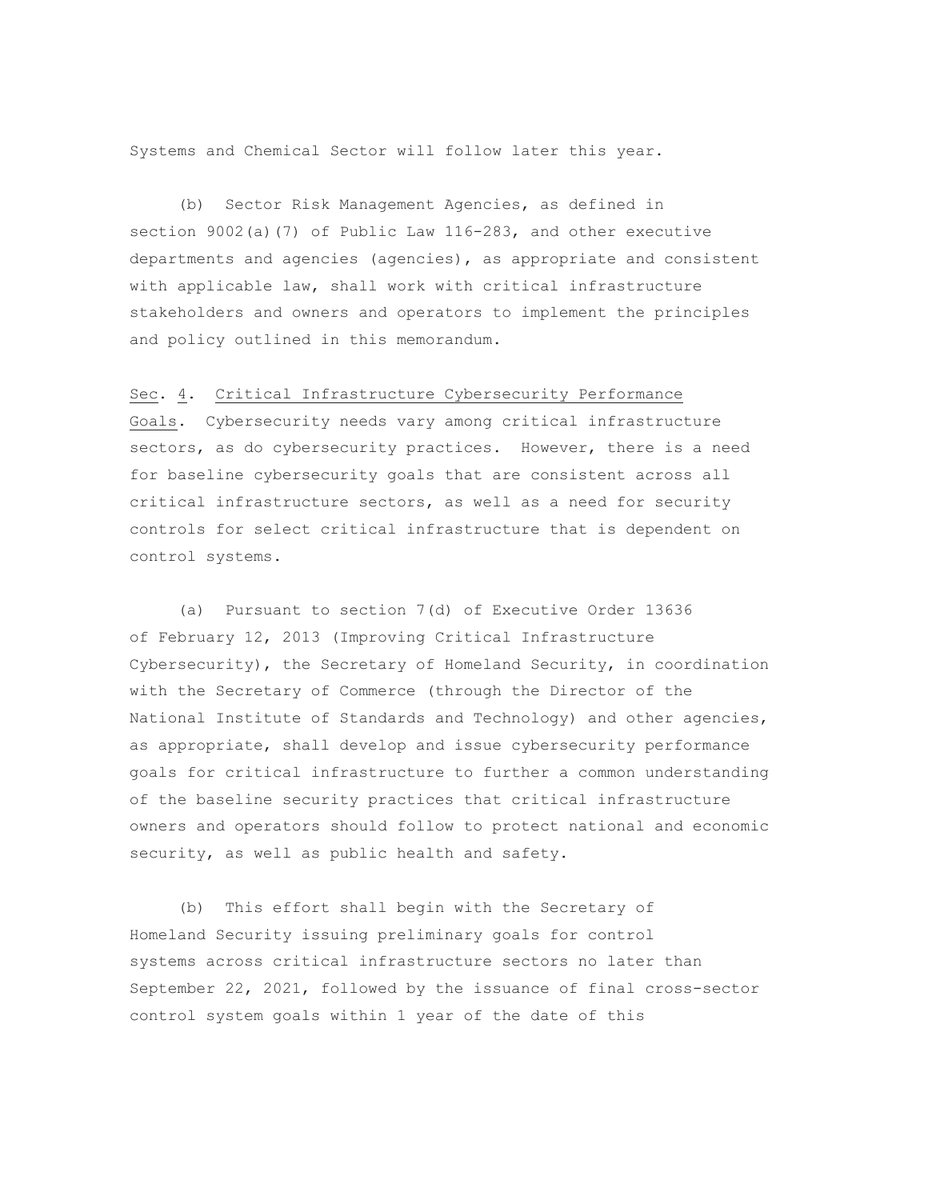Systems and Chemical Sector will follow later this year.

(b) Sector Risk Management Agencies, as defined in section 9002(a)(7) of Public Law 116-283, and other executive departments and agencies (agencies), as appropriate and consistent with applicable law, shall work with critical infrastructure stakeholders and owners and operators to implement the principles and policy outlined in this memorandum.

Sec. 4. Critical Infrastructure Cybersecurity Performance Goals. Cybersecurity needs vary among critical infrastructure sectors, as do cybersecurity practices. However, there is a need for baseline cybersecurity goals that are consistent across all critical infrastructure sectors, as well as a need for security controls for select critical infrastructure that is dependent on control systems.

(a) Pursuant to section 7(d) of Executive Order 13636 of February 12, 2013 (Improving Critical Infrastructure Cybersecurity), the Secretary of Homeland Security, in coordination with the Secretary of Commerce (through the Director of the National Institute of Standards and Technology) and other agencies, as appropriate, shall develop and issue cybersecurity performance goals for critical infrastructure to further a common understanding of the baseline security practices that critical infrastructure owners and operators should follow to protect national and economic security, as well as public health and safety.

(b) This effort shall begin with the Secretary of Homeland Security issuing preliminary goals for control systems across critical infrastructure sectors no later than September 22, 2021, followed by the issuance of final cross-sector control system goals within 1 year of the date of this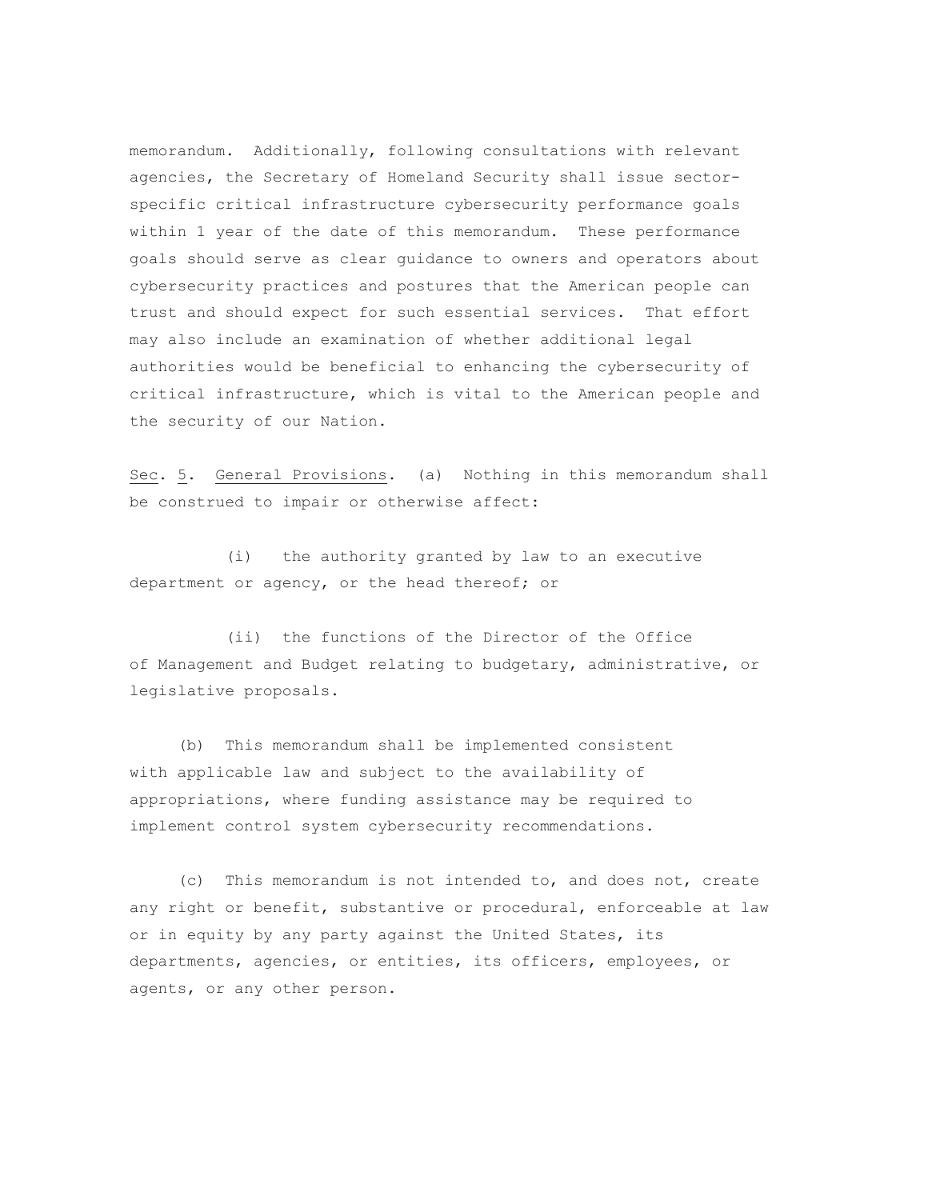memorandum. Additionally, following consultations with relevant agencies, the Secretary of Homeland Security shall issue sectorspecific critical infrastructure cybersecurity performance goals within 1 year of the date of this memorandum. These performance goals should serve as clear guidance to owners and operators about cybersecurity practices and postures that the American people can trust and should expect for such essential services. That effort may also include an examination of whether additional legal authorities would be beneficial to enhancing the cybersecurity of critical infrastructure, which is vital to the American people and the security of our Nation.

Sec. 5. General Provisions. (a) Nothing in this memorandum shall be construed to impair or otherwise affect:

 (i) the authority granted by law to an executive department or agency, or the head thereof; or

 (ii) the functions of the Director of the Office of Management and Budget relating to budgetary, administrative, or legislative proposals.

(b) This memorandum shall be implemented consistent with applicable law and subject to the availability of appropriations, where funding assistance may be required to implement control system cybersecurity recommendations.

(c) This memorandum is not intended to, and does not, create any right or benefit, substantive or procedural, enforceable at law or in equity by any party against the United States, its departments, agencies, or entities, its officers, employees, or agents, or any other person.